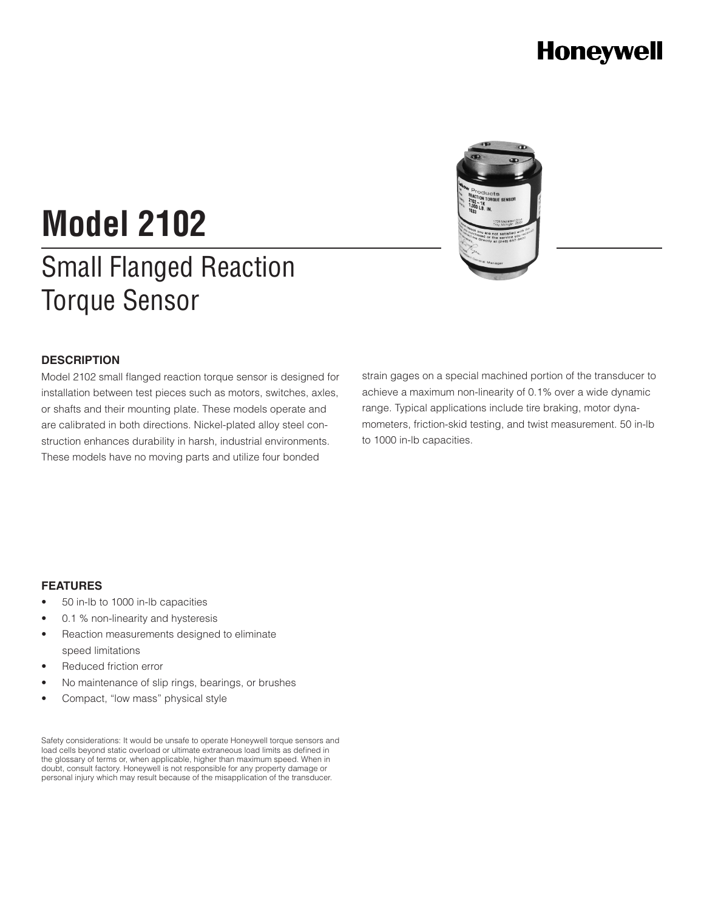# **Honeywell**



# Small Flanged Reaction Torque Sensor **Model 2102**

### **DESCRIPTION**

Model 2102 small flanged reaction torque sensor is designed for installation between test pieces such as motors, switches, axles, or shafts and their mounting plate. These models operate and are calibrated in both directions. Nickel-plated alloy steel construction enhances durability in harsh, industrial environments. These models have no moving parts and utilize four bonded

strain gages on a special machined portion of the transducer to achieve a maximum non-linearity of 0.1% over a wide dynamic range. Typical applications include tire braking, motor dynamometers, friction-skid testing, and twist measurement. 50 in-lb to 1000 in-lb capacities.

### **FEATURES**

- 50 in-lb to 1000 in-lb capacities
- 0.1 % non-linearity and hysteresis
- Reaction measurements designed to eliminate speed limitations
- Reduced friction error
- No maintenance of slip rings, bearings, or brushes
- Compact, "low mass" physical style

Safety considerations: It would be unsafe to operate Honeywell torque sensors and load cells beyond static overload or ultimate extraneous load limits as defined in the glossary of terms or, when applicable, higher than maximum speed. When in doubt, consult factory. Honeywell is not responsible for any property damage or personal injury which may result because of the misapplication of the transducer.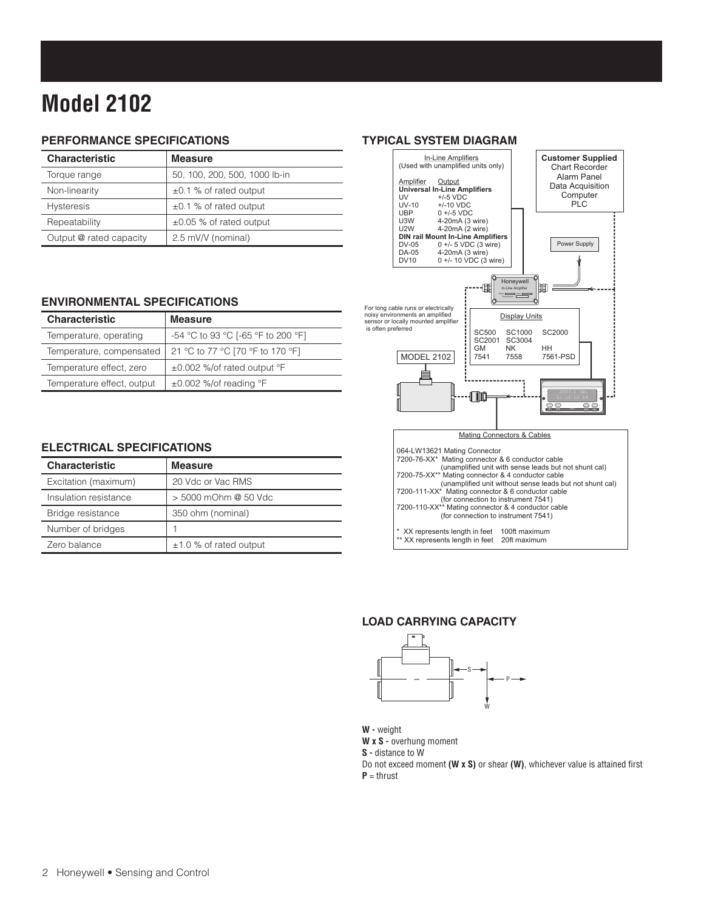# **Model 2102**

### **PERFORMANCE SPECIFICATIONS**

| <b>Characteristic</b>   | <b>Measure</b>                |  |  |  |
|-------------------------|-------------------------------|--|--|--|
| Torque range            | 50, 100, 200, 500, 1000 lb-in |  |  |  |
| Non-linearity           | $\pm 0.1$ % of rated output   |  |  |  |
| <b>Hysteresis</b>       | $\pm 0.1$ % of rated output   |  |  |  |
| Repeatability           | $\pm 0.05$ % of rated output  |  |  |  |
| Output @ rated capacity | 2.5 mV/V (nominal)            |  |  |  |

### **ENVIRONMENTAL SPECIFICATIONS**

| <b>Characteristic</b>      | <b>Measure</b>                     |  |  |  |
|----------------------------|------------------------------------|--|--|--|
| Temperature, operating     | -54 °C to 93 °C [-65 °F to 200 °F] |  |  |  |
| Temperature, compensated   | 21 °C to 77 °C [70 °F to 170 °F]   |  |  |  |
| Temperature effect, zero   | ±0.002 %/of rated output °F        |  |  |  |
| Temperature effect, output | $\pm 0.002$ %/of reading °F        |  |  |  |

### **ELECTRICAL SPECIFICATIONS**

| <b>Characteristic</b> | <b>Measure</b>              |  |  |  |
|-----------------------|-----------------------------|--|--|--|
| Excitation (maximum)  | 20 Vdc or Vac RMS           |  |  |  |
| Insulation resistance | > 5000 mOhm @ 50 Vdc        |  |  |  |
| Bridge resistance     | 350 ohm (nominal)           |  |  |  |
| Number of bridges     |                             |  |  |  |
| Zero balance          | $\pm$ 1.0 % of rated output |  |  |  |

### **TYPICAL SYSTEM DIAGRAM**



### **Load carrying capacity**



**W -** weight W x S - overhung moment **S -** distance to W

**D** not exceed moment **(W x S)** or shear **(W)**, whichever value is attained first  $P = thrust$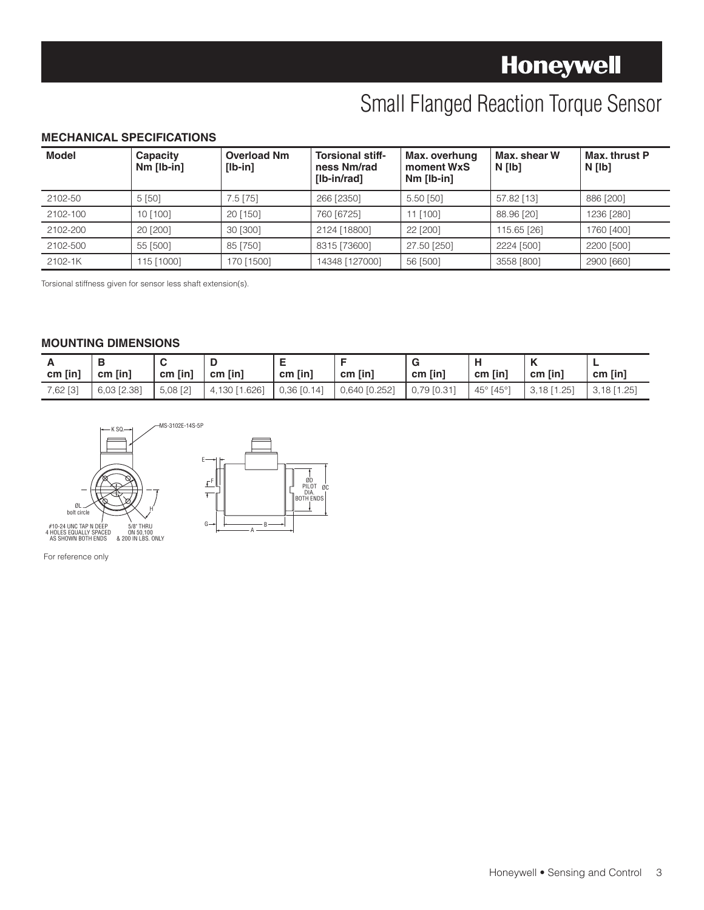# **Honeywell**

# Small Flanged Reaction Torque Sensor

### **MECHANICAL SPECIFICATIONS**

| <b>Model</b> | Capacity<br>$Nm$ [lb-in] | <b>Overload Nm</b><br>$[lb-in]$ | <b>Torsional stiff-</b><br>ness Nm/rad<br><b>Ilb-in/rad1</b> | Max. overhung<br>moment WxS<br>$Nm$ [lb-in] | Max. shear W<br>N [lb] | Max. thrust P<br>N [lb] |
|--------------|--------------------------|---------------------------------|--------------------------------------------------------------|---------------------------------------------|------------------------|-------------------------|
| 2102-50      | 5[50]                    | $7.5$ [75]                      | 266 [2350]                                                   | 5.50 [50]                                   | 57.82 [13]             | 886 [200]               |
| 2102-100     | 10 [100]                 | 20 [150]                        | 760 [6725]                                                   | 11 [100]                                    | 88.96 [20]             | 1236 [280]              |
| 2102-200     | 20 [200]                 | 30 [300]                        | 2124 [18800]                                                 | 22 [200]                                    | 115.65 [26]            | 1760 [400]              |
| 2102-500     | 55 [500]                 | 85 [750]                        | 8315 [73600]                                                 | 27.50 [250]                                 | 2224 [500]             | 2200 [500]              |
| 2102-1K      | 115 [1000]               | 170 [1500]                      | 14348 [127000]                                               | 56 [500]                                    | 3558 [800]             | 2900 [660]              |

Torsional stiffness given for sensor less shaft extension(s).

### **MOUNTING DIMENSIONS**

| -<br>$cm$ [in] | $cm$ [in]   | $cm$ [in]              | cm [in]       | cm [in]       | cm [in]       | $cm$ [in]       | cm [in]                      | м<br>cm [in]   | -<br>cm [in]  |
|----------------|-------------|------------------------|---------------|---------------|---------------|-----------------|------------------------------|----------------|---------------|
| 7,62 [3]       | 6,03 [2.38] | $5,08$ [2]<br>$\sim$ 1 | 4,130 [1.626] | $0,36$ [0.14] | 0,640 [0.252] | $0,79$ $[0.31]$ | $45^{\circ}$<br>$[45^\circ]$ | [1.25]<br>3.18 | $3,18$ [1.25] |





For reference only